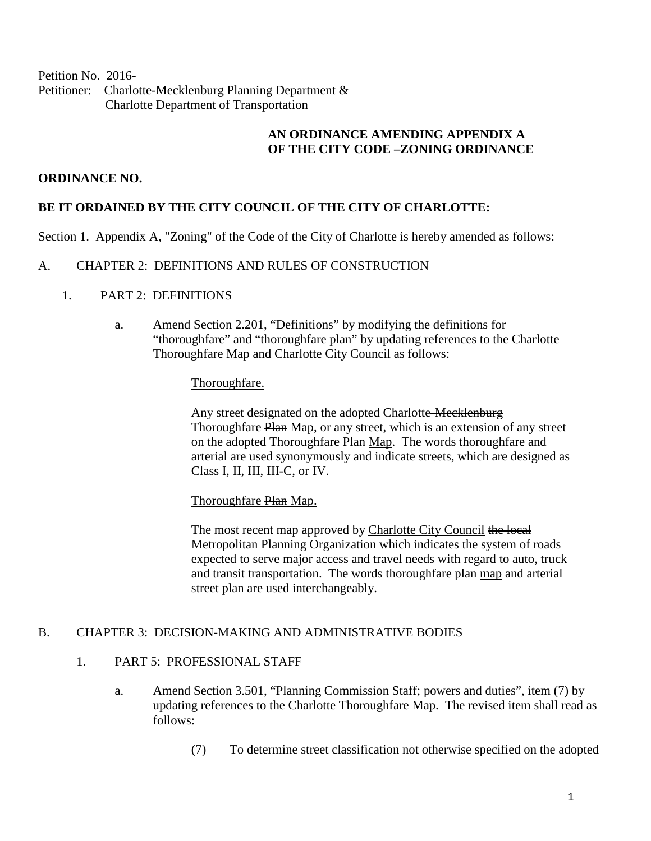Petition No. 2016- Petitioner: Charlotte-Mecklenburg Planning Department & Charlotte Department of Transportation

# **AN ORDINANCE AMENDING APPENDIX A OF THE CITY CODE –ZONING ORDINANCE**

# **ORDINANCE NO.**

# **BE IT ORDAINED BY THE CITY COUNCIL OF THE CITY OF CHARLOTTE:**

Section 1. Appendix A, "Zoning" of the Code of the City of Charlotte is hereby amended as follows:

#### A. CHAPTER 2: DEFINITIONS AND RULES OF CONSTRUCTION

### 1. PART 2: DEFINITIONS

a. Amend Section 2.201, "Definitions" by modifying the definitions for "thoroughfare" and "thoroughfare plan" by updating references to the Charlotte Thoroughfare Map and Charlotte City Council as follows:

### Thoroughfare.

Any street designated on the adopted Charlotte-Mecklenburg Thoroughfare Plan Map, or any street, which is an extension of any street on the adopted Thoroughfare Plan Map. The words thoroughfare and arterial are used synonymously and indicate streets, which are designed as Class I, II, III, III-C, or IV.

Thoroughfare Plan Map.

The most recent map approved by Charlotte City Council the local Metropolitan Planning Organization which indicates the system of roads expected to serve major access and travel needs with regard to auto, truck and transit transportation. The words thoroughfare plan map and arterial street plan are used interchangeably.

#### B. CHAPTER 3: DECISION-MAKING AND ADMINISTRATIVE BODIES

#### 1. PART 5: PROFESSIONAL STAFF

- a. Amend Section 3.501, "Planning Commission Staff; powers and duties", item (7) by updating references to the Charlotte Thoroughfare Map. The revised item shall read as follows:
	- (7) To determine street classification not otherwise specified on the adopted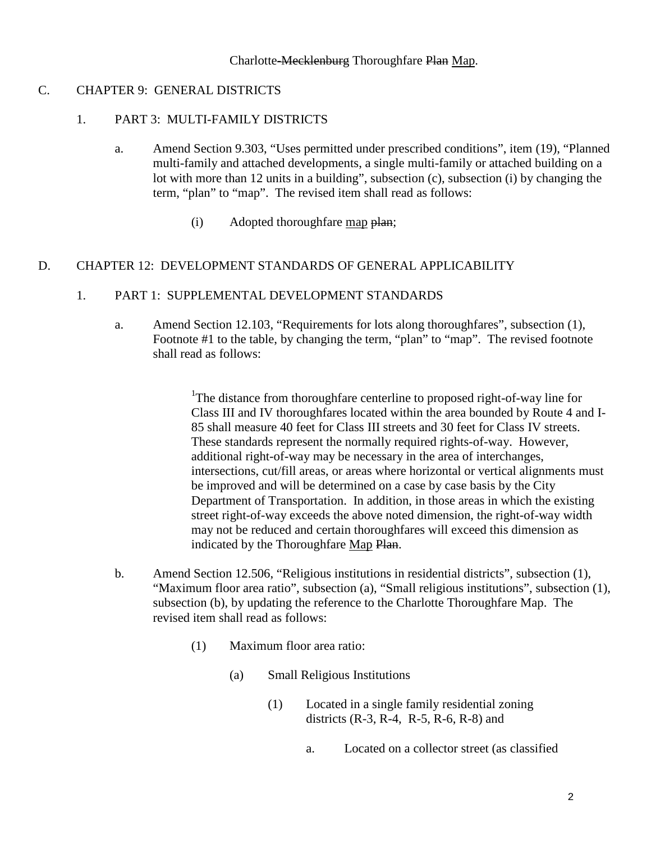## C. CHAPTER 9: GENERAL DISTRICTS

#### 1. PART 3: MULTI-FAMILY DISTRICTS

- a. Amend Section 9.303, "Uses permitted under prescribed conditions", item (19), "Planned multi-family and attached developments, a single multi-family or attached building on a lot with more than 12 units in a building", subsection (c), subsection (i) by changing the term, "plan" to "map". The revised item shall read as follows:
	- (i) Adopted thoroughfare map plan;

# D. CHAPTER 12: DEVELOPMENT STANDARDS OF GENERAL APPLICABILITY

# 1. PART 1: SUPPLEMENTAL DEVELOPMENT STANDARDS

a. Amend Section 12.103, "Requirements for lots along thoroughfares", subsection (1), Footnote #1 to the table, by changing the term, "plan" to "map". The revised footnote shall read as follows:

> <sup>1</sup>The distance from thoroughfare centerline to proposed right-of-way line for Class III and IV thoroughfares located within the area bounded by Route 4 and I-85 shall measure 40 feet for Class III streets and 30 feet for Class IV streets. These standards represent the normally required rights-of-way. However, additional right-of-way may be necessary in the area of interchanges, intersections, cut/fill areas, or areas where horizontal or vertical alignments must be improved and will be determined on a case by case basis by the City Department of Transportation. In addition, in those areas in which the existing street right-of-way exceeds the above noted dimension, the right-of-way width may not be reduced and certain thoroughfares will exceed this dimension as indicated by the Thoroughfare Map Plan.

- b. Amend Section 12.506, "Religious institutions in residential districts", subsection (1), "Maximum floor area ratio", subsection (a), "Small religious institutions", subsection (1), subsection (b), by updating the reference to the Charlotte Thoroughfare Map. The revised item shall read as follows:
	- (1) Maximum floor area ratio:
		- (a) Small Religious Institutions
			- (1) Located in a single family residential zoning districts (R-3, R-4, R-5, R-6, R-8) and
				- a. Located on a collector street (as classified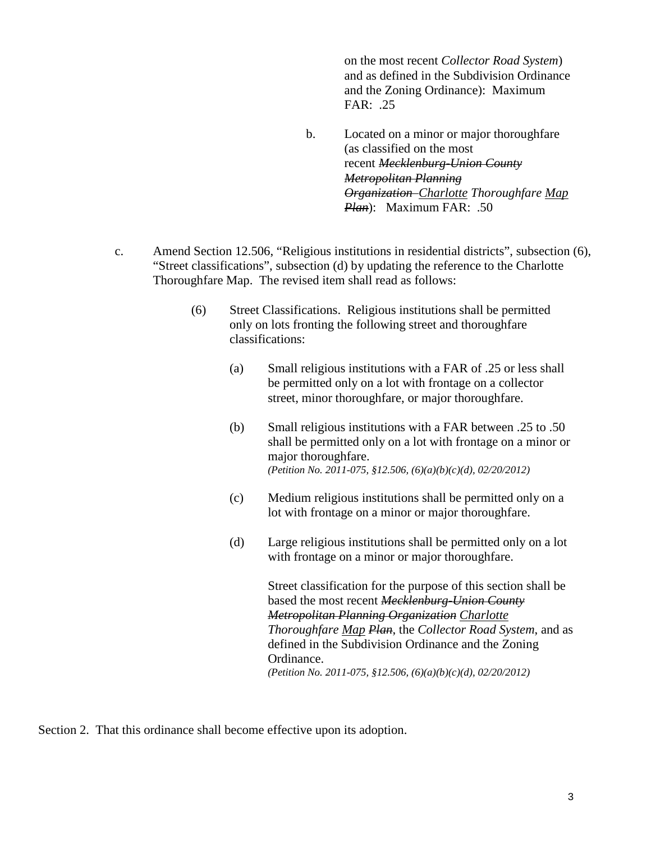on the most recent *Collector Road System*) and as defined in the Subdivision Ordinance and the Zoning Ordinance): Maximum FAR: .25

- b. Located on a minor or major thoroughfare (as classified on the most recent *Mecklenburg-Union County Metropolitan Planning Organization Charlotte Thoroughfare Map Plan*): Maximum FAR: .50
- c. Amend Section 12.506, "Religious institutions in residential districts", subsection (6), "Street classifications", subsection (d) by updating the reference to the Charlotte Thoroughfare Map. The revised item shall read as follows:
	- (6) Street Classifications. Religious institutions shall be permitted only on lots fronting the following street and thoroughfare classifications:
		- (a) Small religious institutions with a FAR of .25 or less shall be permitted only on a lot with frontage on a collector street, minor thoroughfare, or major thoroughfare.
		- (b) Small religious institutions with a FAR between .25 to .50 shall be permitted only on a lot with frontage on a minor or major thoroughfare. *(Petition No. 2011-075, §12.506, (6)(a)(b)(c)(d), 02/20/2012)*
		- (c) Medium religious institutions shall be permitted only on a lot with frontage on a minor or major thoroughfare.
		- (d) Large religious institutions shall be permitted only on a lot with frontage on a minor or major thoroughfare.

Street classification for the purpose of this section shall be based the most recent *Mecklenburg-Union County Metropolitan Planning Organization Charlotte Thoroughfare Map Plan*, the *Collector Road System*, and as defined in the Subdivision Ordinance and the Zoning Ordinance. *(Petition No. 2011-075, §12.506, (6)(a)(b)(c)(d), 02/20/2012)*

Section 2. That this ordinance shall become effective upon its adoption.